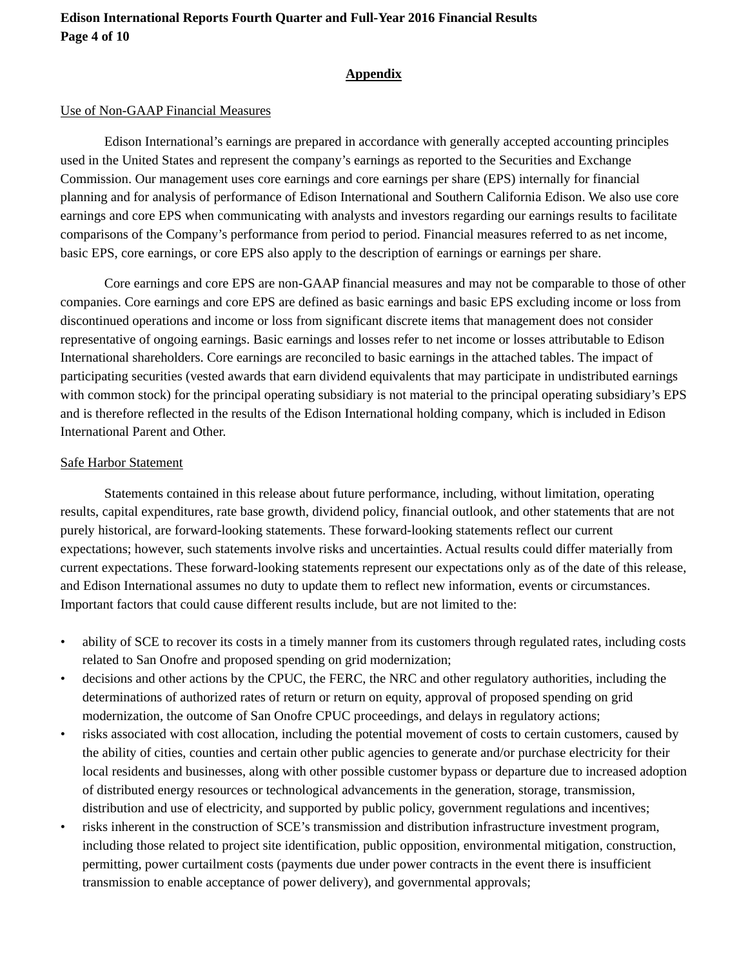## **Edison International Reports Fourth Quarter and Full-Year 2016 Financial Results Page 4 of 10**

#### **Appendix**

## Use of Non-GAAP Financial Measures

Edison International's earnings are prepared in accordance with generally accepted accounting principles used in the United States and represent the company's earnings as reported to the Securities and Exchange Commission. Our management uses core earnings and core earnings per share (EPS) internally for financial planning and for analysis of performance of Edison International and Southern California Edison. We also use core earnings and core EPS when communicating with analysts and investors regarding our earnings results to facilitate comparisons of the Company's performance from period to period. Financial measures referred to as net income, basic EPS, core earnings, or core EPS also apply to the description of earnings or earnings per share.

Core earnings and core EPS are non-GAAP financial measures and may not be comparable to those of other companies. Core earnings and core EPS are defined as basic earnings and basic EPS excluding income or loss from discontinued operations and income or loss from significant discrete items that management does not consider representative of ongoing earnings. Basic earnings and losses refer to net income or losses attributable to Edison International shareholders. Core earnings are reconciled to basic earnings in the attached tables. The impact of participating securities (vested awards that earn dividend equivalents that may participate in undistributed earnings with common stock) for the principal operating subsidiary is not material to the principal operating subsidiary's EPS and is therefore reflected in the results of the Edison International holding company, which is included in Edison International Parent and Other.

## Safe Harbor Statement

Statements contained in this release about future performance, including, without limitation, operating results, capital expenditures, rate base growth, dividend policy, financial outlook, and other statements that are not purely historical, are forward-looking statements. These forward-looking statements reflect our current expectations; however, such statements involve risks and uncertainties. Actual results could differ materially from current expectations. These forward-looking statements represent our expectations only as of the date of this release, and Edison International assumes no duty to update them to reflect new information, events or circumstances. Important factors that could cause different results include, but are not limited to the:

- ability of SCE to recover its costs in a timely manner from its customers through regulated rates, including costs related to San Onofre and proposed spending on grid modernization;
- decisions and other actions by the CPUC, the FERC, the NRC and other regulatory authorities, including the determinations of authorized rates of return or return on equity, approval of proposed spending on grid modernization, the outcome of San Onofre CPUC proceedings, and delays in regulatory actions;
- risks associated with cost allocation, including the potential movement of costs to certain customers, caused by the ability of cities, counties and certain other public agencies to generate and/or purchase electricity for their local residents and businesses, along with other possible customer bypass or departure due to increased adoption of distributed energy resources or technological advancements in the generation, storage, transmission, distribution and use of electricity, and supported by public policy, government regulations and incentives;
- risks inherent in the construction of SCE's transmission and distribution infrastructure investment program, including those related to project site identification, public opposition, environmental mitigation, construction, permitting, power curtailment costs (payments due under power contracts in the event there is insufficient transmission to enable acceptance of power delivery), and governmental approvals;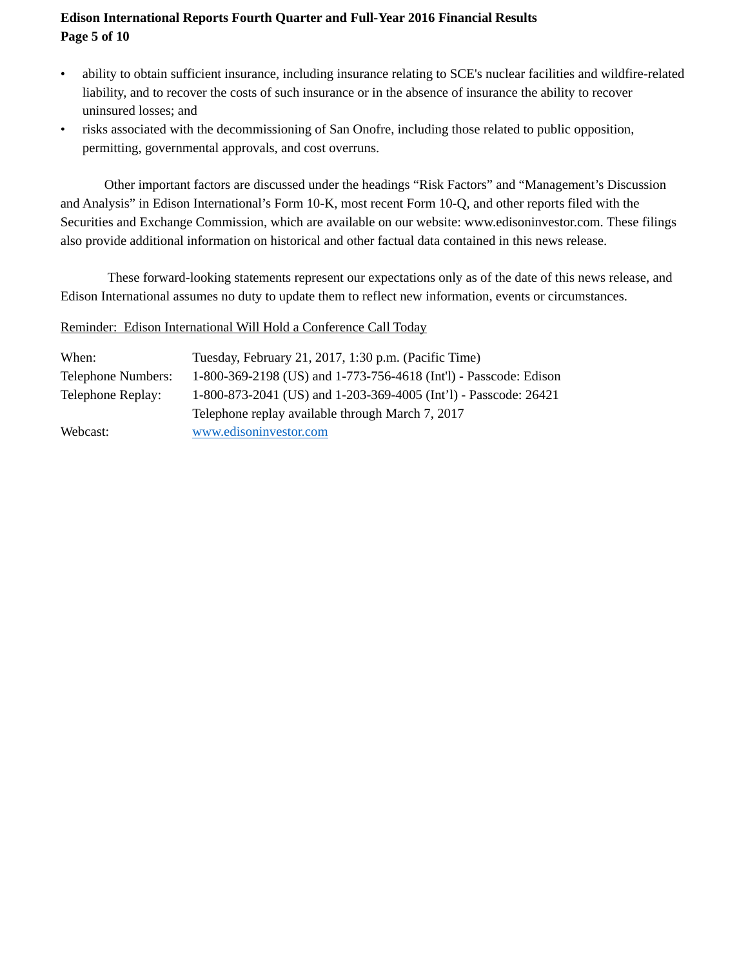## **Edison International Reports Fourth Quarter and Full-Year 2016 Financial Results Page 5 of 10**

- ability to obtain sufficient insurance, including insurance relating to SCE's nuclear facilities and wildfire-related liability, and to recover the costs of such insurance or in the absence of insurance the ability to recover uninsured losses; and
- risks associated with the decommissioning of San Onofre, including those related to public opposition, permitting, governmental approvals, and cost overruns.

Other important factors are discussed under the headings "Risk Factors" and "Management's Discussion and Analysis" in Edison International's Form 10-K, most recent Form 10-Q, and other reports filed with the Securities and Exchange Commission, which are available on our website: www.edisoninvestor.com. These filings also provide additional information on historical and other factual data contained in this news release.

 These forward-looking statements represent our expectations only as of the date of this news release, and Edison International assumes no duty to update them to reflect new information, events or circumstances.

### Reminder: Edison International Will Hold a Conference Call Today

| When:                     | Tuesday, February 21, 2017, 1:30 p.m. (Pacific Time)              |
|---------------------------|-------------------------------------------------------------------|
| <b>Telephone Numbers:</b> | 1-800-369-2198 (US) and 1-773-756-4618 (Int'l) - Passcode: Edison |
| Telephone Replay:         | 1-800-873-2041 (US) and 1-203-369-4005 (Int'l) - Passcode: 26421  |
|                           | Telephone replay available through March 7, 2017                  |
| Webcast:                  | www.edisoninvestor.com                                            |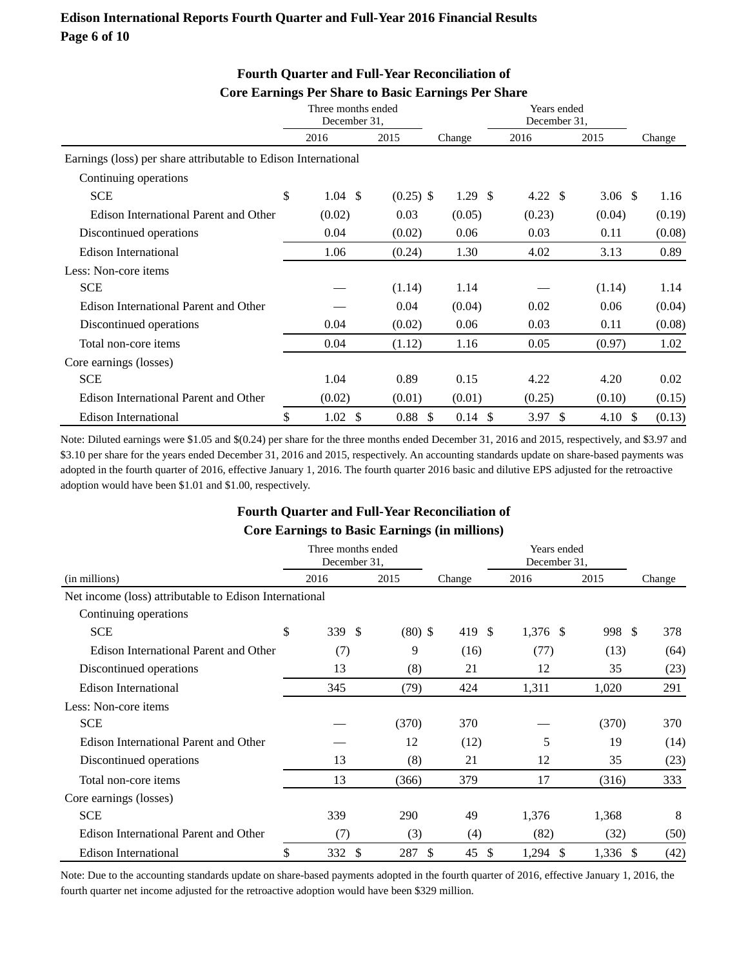### **Edison International Reports Fourth Quarter and Full-Year 2016 Financial Results Page 6 of 10**

### **Fourth Quarter and Full-Year Reconciliation of Core Earnings Per Share to Basic Earnings Per Share**

|                                                                | Three months ended<br>December 31, |             |            | Years ended<br>December 31, |                    |        |
|----------------------------------------------------------------|------------------------------------|-------------|------------|-----------------------------|--------------------|--------|
|                                                                | 2016                               | 2015        | Change     | 2016                        | 2015               | Change |
| Earnings (loss) per share attributable to Edison International |                                    |             |            |                             |                    |        |
| Continuing operations                                          |                                    |             |            |                             |                    |        |
| <b>SCE</b>                                                     | \$<br>-S<br>1.04                   | $(0.25)$ \$ | $1.29$ \$  | 4.22 \$                     | 3.06 $\frac{1}{2}$ | 1.16   |
| Edison International Parent and Other                          | (0.02)                             | 0.03        | (0.05)     | (0.23)                      | (0.04)             | (0.19) |
| Discontinued operations                                        | 0.04                               | (0.02)      | 0.06       | 0.03                        | 0.11               | (0.08) |
| <b>Edison International</b>                                    | 1.06                               | (0.24)      | 1.30       | 4.02                        | 3.13               | 0.89   |
| Less: Non-core items                                           |                                    |             |            |                             |                    |        |
| <b>SCE</b>                                                     |                                    | (1.14)      | 1.14       |                             | (1.14)             | 1.14   |
| Edison International Parent and Other                          |                                    | 0.04        | (0.04)     | 0.02                        | 0.06               | (0.04) |
| Discontinued operations                                        | 0.04                               | (0.02)      | 0.06       | 0.03                        | 0.11               | (0.08) |
| Total non-core items                                           | 0.04                               | (1.12)      | 1.16       | 0.05                        | (0.97)             | 1.02   |
| Core earnings (losses)                                         |                                    |             |            |                             |                    |        |
| <b>SCE</b>                                                     | 1.04                               | 0.89        | 0.15       | 4.22                        | 4.20               | 0.02   |
| Edison International Parent and Other                          | (0.02)                             | (0.01)      | (0.01)     | (0.25)                      | (0.10)             | (0.15) |
| Edison International                                           | \$<br>1.02<br>$\mathcal{S}$        | $0.88$ \$   | -S<br>0.14 | 3.97<br>\$                  | 4.10<br>-\$        | (0.13) |

Note: Diluted earnings were \$1.05 and \$(0.24) per share for the three months ended December 31, 2016 and 2015, respectively, and \$3.97 and \$3.10 per share for the years ended December 31, 2016 and 2015, respectively. An accounting standards update on share-based payments was adopted in the fourth quarter of 2016, effective January 1, 2016. The fourth quarter 2016 basic and dilutive EPS adjusted for the retroactive adoption would have been \$1.01 and \$1.00, respectively.

## **Fourth Quarter and Full-Year Reconciliation of Core Earnings to Basic Earnings (in millions)**

|                                                        |           | December 31, | Three months ended |                     | Years ended<br>December 31, |                      |        |
|--------------------------------------------------------|-----------|--------------|--------------------|---------------------|-----------------------------|----------------------|--------|
| (in millions)                                          | 2016      |              | 2015               | Change              | 2016                        | 2015                 | Change |
| Net income (loss) attributable to Edison International |           |              |                    |                     |                             |                      |        |
| Continuing operations                                  |           |              |                    |                     |                             |                      |        |
| <b>SCE</b>                                             | \$        | 339<br>-\$   | $(80)$ \$          | 419 \$              | 1,376 \$                    | 998<br>$\mathcal{S}$ | 378    |
| Edison International Parent and Other                  |           | (7)          | 9                  | (16)                | (77)                        | (13)                 | (64)   |
| Discontinued operations                                |           | 13           | (8)                | 21                  | 12                          | 35                   | (23)   |
| <b>Edison International</b>                            | 345       |              | (79)               | 424                 | 1,311                       | 1,020                | 291    |
| Less: Non-core items                                   |           |              |                    |                     |                             |                      |        |
| <b>SCE</b>                                             |           |              | (370)              | 370                 |                             | (370)                | 370    |
| Edison International Parent and Other                  |           |              | 12                 | (12)                | 5                           | 19                   | (14)   |
| Discontinued operations                                |           | 13           | (8)                | 21                  | 12                          | 35                   | (23)   |
| Total non-core items                                   |           | 13           | (366)              | 379                 | 17                          | (316)                | 333    |
| Core earnings (losses)                                 |           |              |                    |                     |                             |                      |        |
| <b>SCE</b>                                             | 339       |              | 290                | 49                  | 1,376                       | 1,368                | 8      |
| Edison International Parent and Other                  |           | (7)          | (3)                | (4)                 | (82)                        | (32)                 | (50)   |
| Edison International                                   | \$<br>332 | \$           | \$<br>287          | 45<br>$\mathcal{S}$ | $1,294$ \$                  | 1,336 \$             | (42)   |

Note: Due to the accounting standards update on share-based payments adopted in the fourth quarter of 2016, effective January 1, 2016, the fourth quarter net income adjusted for the retroactive adoption would have been \$329 million.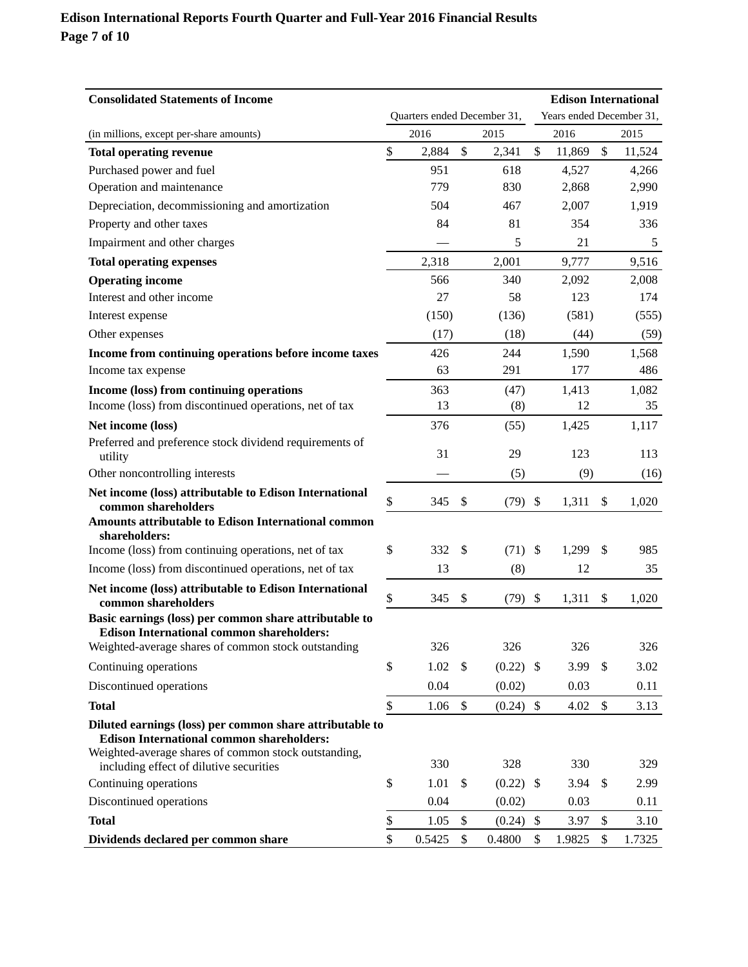## **Edison International Reports Fourth Quarter and Full-Year 2016 Financial Results Page 7 of 10**

| <b>Consolidated Statements of Income</b>                                                                   |                             |        |        |             |                          | <b>Edison International</b> |    |        |  |
|------------------------------------------------------------------------------------------------------------|-----------------------------|--------|--------|-------------|--------------------------|-----------------------------|----|--------|--|
|                                                                                                            | Quarters ended December 31, |        |        |             | Years ended December 31, |                             |    |        |  |
| (in millions, except per-share amounts)                                                                    |                             | 2016   |        | 2015        |                          | 2016                        |    | 2015   |  |
| <b>Total operating revenue</b>                                                                             | \$                          | 2,884  | \$     | 2,341       | \$                       | 11,869                      | \$ | 11,524 |  |
| Purchased power and fuel                                                                                   |                             | 951    |        | 618         |                          | 4,527                       |    | 4,266  |  |
| Operation and maintenance                                                                                  |                             | 779    |        | 830         |                          | 2,868                       |    | 2,990  |  |
| Depreciation, decommissioning and amortization                                                             |                             | 504    |        | 467         |                          | 2,007                       |    | 1,919  |  |
| Property and other taxes                                                                                   |                             | 84     |        | 81          |                          | 354                         |    | 336    |  |
| Impairment and other charges                                                                               |                             |        |        | 5           |                          | 21                          |    | 5      |  |
| <b>Total operating expenses</b>                                                                            |                             | 2,318  |        | 2,001       |                          | 9,777                       |    | 9,516  |  |
| <b>Operating income</b>                                                                                    |                             | 566    |        | 340         |                          | 2,092                       |    | 2,008  |  |
| Interest and other income                                                                                  |                             | 27     |        | 58          |                          | 123                         |    | 174    |  |
| Interest expense                                                                                           |                             | (150)  |        | (136)       |                          | (581)                       |    | (555)  |  |
| Other expenses                                                                                             |                             | (17)   |        | (18)        |                          | (44)                        |    | (59)   |  |
| Income from continuing operations before income taxes                                                      |                             | 426    |        | 244         |                          | 1,590                       |    | 1,568  |  |
| Income tax expense                                                                                         |                             | 63     |        | 291         |                          | 177                         |    | 486    |  |
| Income (loss) from continuing operations                                                                   |                             | 363    |        | (47)        |                          | 1,413                       |    | 1,082  |  |
| Income (loss) from discontinued operations, net of tax                                                     |                             | 13     |        | (8)         |                          | 12                          |    | 35     |  |
| Net income (loss)                                                                                          |                             | 376    |        | (55)        |                          | 1,425                       |    | 1,117  |  |
| Preferred and preference stock dividend requirements of<br>utility                                         |                             | 31     |        | 29          |                          | 123                         |    | 113    |  |
| Other noncontrolling interests                                                                             |                             |        |        | (5)         |                          | (9)                         |    | (16)   |  |
| Net income (loss) attributable to Edison International<br>common shareholders                              | \$                          | 345    | \$     | (79)        | \$                       | 1,311                       | \$ | 1,020  |  |
| Amounts attributable to Edison International common<br>shareholders:                                       |                             |        |        |             |                          |                             |    |        |  |
| Income (loss) from continuing operations, net of tax                                                       | \$                          | 332    | \$     | $(71)$ \$   |                          | 1,299                       | \$ | 985    |  |
| Income (loss) from discontinued operations, net of tax                                                     |                             | 13     |        | (8)         |                          | 12                          |    | 35     |  |
| Net income (loss) attributable to Edison International<br>common shareholders                              | \$                          | 345    | \$     | (79)        | $\mathfrak{F}$           | 1,311                       | \$ | 1,020  |  |
| Basic earnings (loss) per common share attributable to<br><b>Edison International common shareholders:</b> |                             |        |        |             |                          |                             |    |        |  |
| Weighted-average shares of common stock outstanding                                                        |                             | 326    |        | 326         |                          | 326                         |    | 326    |  |
| Continuing operations                                                                                      | \$                          | 1.02   | \$     | $(0.22)$ \$ |                          | 3.99                        | \$ | 3.02   |  |
| Discontinued operations                                                                                    |                             | 0.04   |        | (0.02)      |                          | 0.03                        |    | 0.11   |  |
| <b>Total</b>                                                                                               | \$                          | 1.06   | $\$\,$ | $(0.24)$ \$ |                          | 4.02                        | \$ | 3.13   |  |
| Diluted earnings (loss) per common share attributable to                                                   |                             |        |        |             |                          |                             |    |        |  |
| <b>Edison International common shareholders:</b><br>Weighted-average shares of common stock outstanding,   |                             |        |        |             |                          |                             |    |        |  |
| including effect of dilutive securities                                                                    |                             | 330    |        | 328         |                          | 330                         |    | 329    |  |
| Continuing operations                                                                                      | \$                          | 1.01   | \$     | $(0.22)$ \$ |                          | 3.94                        | \$ | 2.99   |  |
| Discontinued operations                                                                                    |                             | 0.04   |        | (0.02)      |                          | 0.03                        |    | 0.11   |  |
| <b>Total</b>                                                                                               | \$                          | 1.05   | \$     | (0.24)      | \$                       | 3.97                        | \$ | 3.10   |  |
| Dividends declared per common share                                                                        | \$                          | 0.5425 | \$     | 0.4800      | \$                       | 1.9825                      | \$ | 1.7325 |  |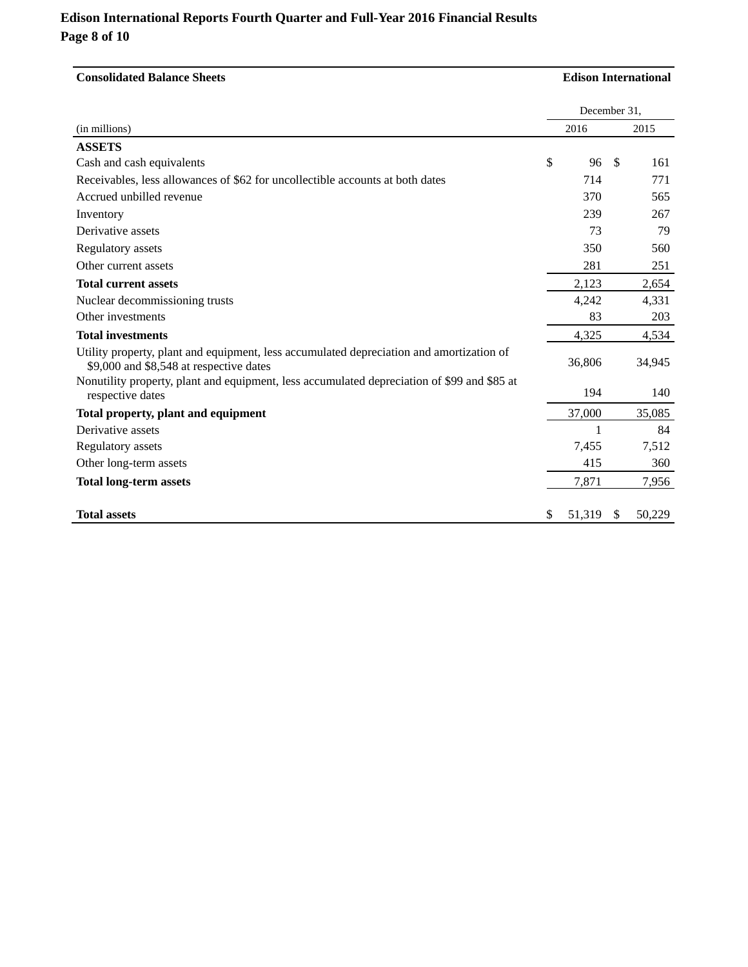# **Edison International Reports Fourth Quarter and Full-Year 2016 Financial Results Page 8 of 10**

| <b>Consolidated Balance Sheets</b>                                                                                                  |    | <b>Edison International</b> |               |        |  |  |  |
|-------------------------------------------------------------------------------------------------------------------------------------|----|-----------------------------|---------------|--------|--|--|--|
|                                                                                                                                     |    | December 31,                |               |        |  |  |  |
| (in millions)                                                                                                                       |    | 2016                        |               | 2015   |  |  |  |
| <b>ASSETS</b>                                                                                                                       |    |                             |               |        |  |  |  |
| Cash and cash equivalents                                                                                                           | \$ | 96                          | $\mathcal{S}$ | 161    |  |  |  |
| Receivables, less allowances of \$62 for uncollectible accounts at both dates                                                       |    | 714                         |               | 771    |  |  |  |
| Accrued unbilled revenue                                                                                                            |    | 370                         |               | 565    |  |  |  |
| Inventory                                                                                                                           |    | 239                         |               | 267    |  |  |  |
| Derivative assets                                                                                                                   |    | 73                          |               | 79     |  |  |  |
| Regulatory assets                                                                                                                   |    | 350                         |               | 560    |  |  |  |
| Other current assets                                                                                                                |    | 281                         |               | 251    |  |  |  |
| <b>Total current assets</b>                                                                                                         |    | 2,123                       |               | 2,654  |  |  |  |
| Nuclear decommissioning trusts                                                                                                      |    | 4,242                       |               | 4,331  |  |  |  |
| Other investments                                                                                                                   |    | 83                          |               | 203    |  |  |  |
| <b>Total investments</b>                                                                                                            |    | 4,325                       |               | 4,534  |  |  |  |
| Utility property, plant and equipment, less accumulated depreciation and amortization of<br>\$9,000 and \$8,548 at respective dates |    | 36,806                      |               | 34,945 |  |  |  |
| Nonutility property, plant and equipment, less accumulated depreciation of \$99 and \$85 at<br>respective dates                     |    | 194                         |               | 140    |  |  |  |
| Total property, plant and equipment                                                                                                 |    | 37,000                      |               | 35,085 |  |  |  |
| Derivative assets                                                                                                                   |    | 1                           |               | 84     |  |  |  |
| Regulatory assets                                                                                                                   |    | 7,455                       |               | 7,512  |  |  |  |
| Other long-term assets                                                                                                              |    | 415                         |               | 360    |  |  |  |
| <b>Total long-term assets</b>                                                                                                       |    | 7,871                       |               | 7,956  |  |  |  |
| <b>Total assets</b>                                                                                                                 | \$ | 51,319                      | S             | 50,229 |  |  |  |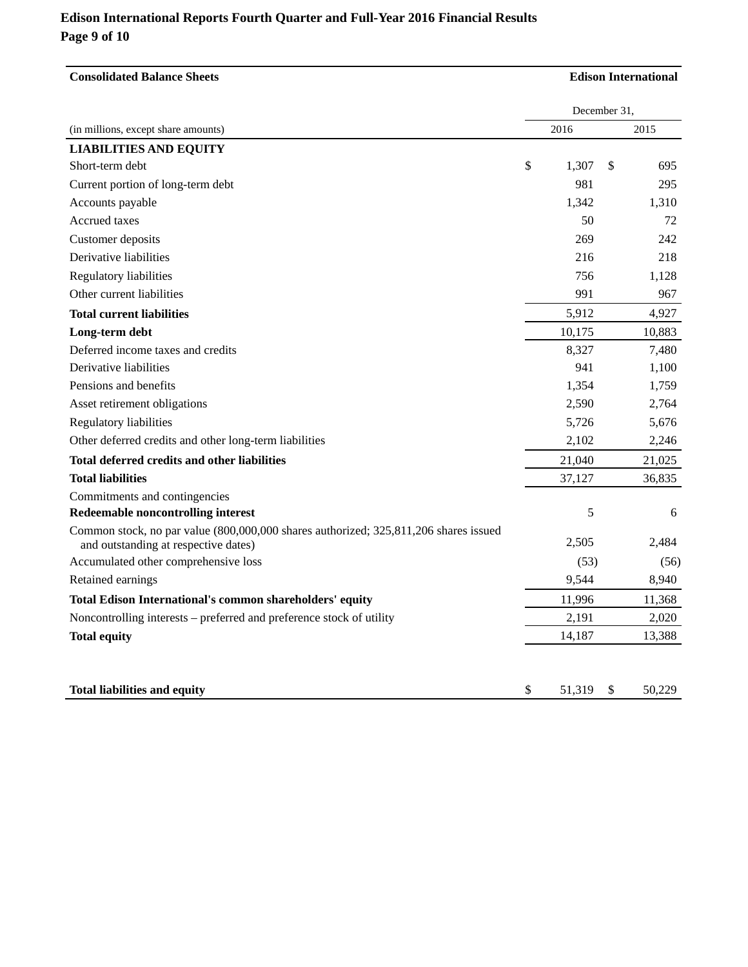# **Edison International Reports Fourth Quarter and Full-Year 2016 Financial Results Page 9 of 10**

| <b>Consolidated Balance Sheets</b>                                                                                           |      | <b>Edison International</b> |    |        |  |  |  |  |  |
|------------------------------------------------------------------------------------------------------------------------------|------|-----------------------------|----|--------|--|--|--|--|--|
|                                                                                                                              |      | December 31,                |    |        |  |  |  |  |  |
| (in millions, except share amounts)                                                                                          | 2016 |                             |    | 2015   |  |  |  |  |  |
| <b>LIABILITIES AND EQUITY</b>                                                                                                |      |                             |    |        |  |  |  |  |  |
| Short-term debt                                                                                                              | \$   | 1,307                       | \$ | 695    |  |  |  |  |  |
| Current portion of long-term debt                                                                                            |      | 981                         |    | 295    |  |  |  |  |  |
| Accounts payable                                                                                                             |      | 1,342                       |    | 1,310  |  |  |  |  |  |
| <b>Accrued</b> taxes                                                                                                         |      | 50                          |    | 72     |  |  |  |  |  |
| Customer deposits                                                                                                            |      | 269                         |    | 242    |  |  |  |  |  |
| Derivative liabilities                                                                                                       |      | 216                         |    | 218    |  |  |  |  |  |
| Regulatory liabilities                                                                                                       |      | 756                         |    | 1,128  |  |  |  |  |  |
| Other current liabilities                                                                                                    |      | 991                         |    | 967    |  |  |  |  |  |
| <b>Total current liabilities</b>                                                                                             |      | 5,912                       |    | 4,927  |  |  |  |  |  |
| Long-term debt                                                                                                               |      | 10,175                      |    | 10,883 |  |  |  |  |  |
| Deferred income taxes and credits                                                                                            |      | 8,327                       |    | 7,480  |  |  |  |  |  |
| Derivative liabilities                                                                                                       |      | 941                         |    | 1,100  |  |  |  |  |  |
| Pensions and benefits                                                                                                        |      | 1,354                       |    | 1,759  |  |  |  |  |  |
| Asset retirement obligations                                                                                                 |      | 2,590                       |    | 2,764  |  |  |  |  |  |
| <b>Regulatory liabilities</b>                                                                                                |      | 5,726                       |    | 5,676  |  |  |  |  |  |
| Other deferred credits and other long-term liabilities                                                                       |      | 2,102                       |    | 2,246  |  |  |  |  |  |
| Total deferred credits and other liabilities                                                                                 |      | 21,040                      |    | 21,025 |  |  |  |  |  |
| <b>Total liabilities</b>                                                                                                     |      | 37,127                      |    | 36,835 |  |  |  |  |  |
| Commitments and contingencies                                                                                                |      |                             |    |        |  |  |  |  |  |
| Redeemable noncontrolling interest                                                                                           |      | 5                           |    | 6      |  |  |  |  |  |
| Common stock, no par value (800,000,000 shares authorized; 325,811,206 shares issued<br>and outstanding at respective dates) |      | 2,505                       |    | 2,484  |  |  |  |  |  |
| Accumulated other comprehensive loss                                                                                         |      | (53)                        |    | (56)   |  |  |  |  |  |
| Retained earnings                                                                                                            |      | 9,544                       |    | 8,940  |  |  |  |  |  |
| Total Edison International's common shareholders' equity                                                                     |      | 11,996                      |    | 11,368 |  |  |  |  |  |
| Noncontrolling interests – preferred and preference stock of utility                                                         |      | 2,191                       |    | 2,020  |  |  |  |  |  |
| <b>Total equity</b>                                                                                                          |      | 14,187                      |    | 13,388 |  |  |  |  |  |
| <b>Total liabilities and equity</b>                                                                                          | \$   | 51,319                      | \$ | 50,229 |  |  |  |  |  |